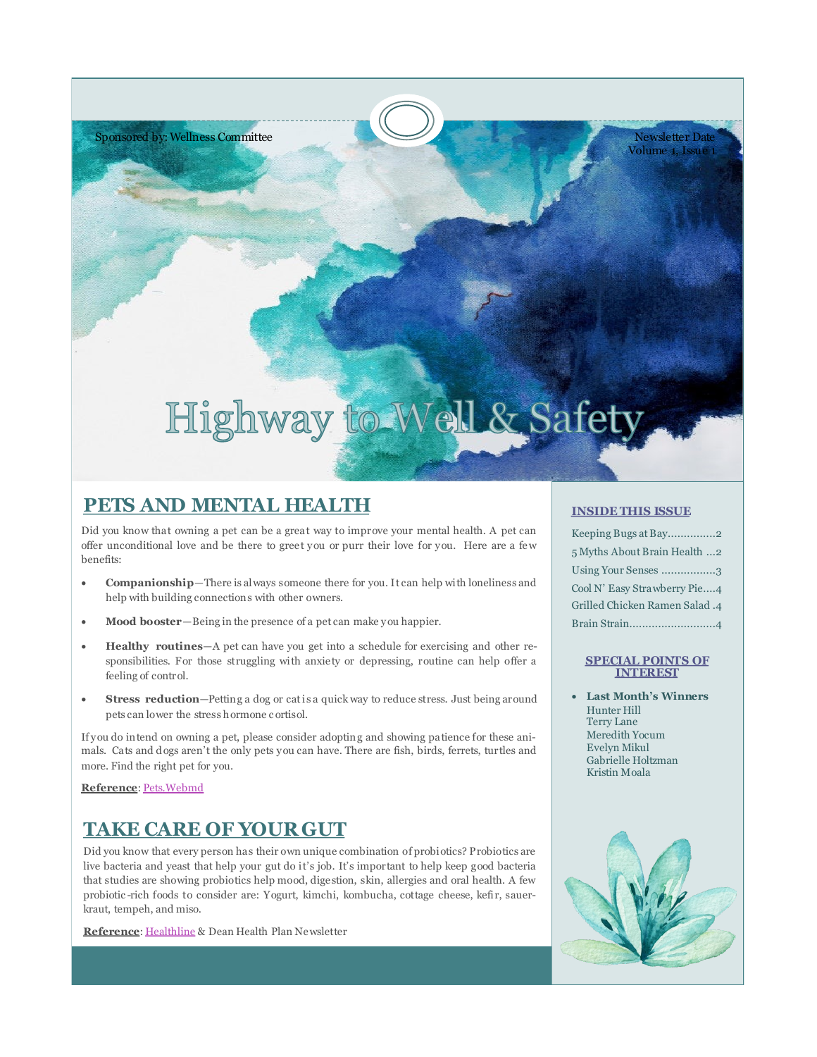

Newsletter Date Volume 1, Issue 1

# Highway to Well & Safety

# **PETS AND MENTAL HEALTH**

Did you know that owning a pet can be a great way to improve your mental health. A pet can offer unconditional love and be there to greet you or purr their love for you. Here are a few benefits:

- **Companionship**—There is always someone there for you. It can help with loneliness and help with building connections with other owners.
- **Mood booster**—Being in the presence of a pet can make you happier.
- **Healthy routines**—A pet can have you get into a schedule for exercising and other responsibilities. For those struggling with anxiety or depressing, routine can help offer a feeling of control.
- **Stress reduction**—Petting a dog or cat is a quick way to reduce stress. Just being around pets can lower the stress hormone c ortisol.

If you do intend on owning a pet, please consider adopting and showing patience for these animals. Cats and d ogs aren't the only pets you can have. There are fish, birds, ferrets, turtles and more. Find the right pet for you.

**Reference**: [Pets.Webmd](https://pets.webmd.com/how-pets-affect-mental-health#1-2)

# **TAKE CARE OF YOUR GUT**

Did you know that every person has their own unique combination of probiotics? Probiotics are live bacteria and yeast that help your gut do it's job. It's important to help keep good bacteria that studies are showing probiotics help mood, digestion, skin, allergies and oral health. A few probiotic -rich foods to consider are: Yogurt, kimchi, kombucha, cottage cheese, kefir, sauerkraut, tempeh, and miso.

**Reference**: [Healthline](https://www.healthline.com/nutrition/11-super-healthy-probiotic-foods) & Dean Health Plan Newsletter

### **INSIDE THIS ISSUE**

| Keeping Bugs at Bay2           |
|--------------------------------|
| 5 Myths About Brain Health 2   |
| Using Your Senses 3            |
| Cool N' Easy Strawberry Pie4   |
| 4. Grilled Chicken Ramen Salad |
| Brain Strain4                  |

### **SPECIAL POINTS OF INTEREST**

 **Last Month's Winners** Hunter Hill Terry Lane Meredith Yocum Evelyn Mikul Gabrielle Holtzman Kristin Moala

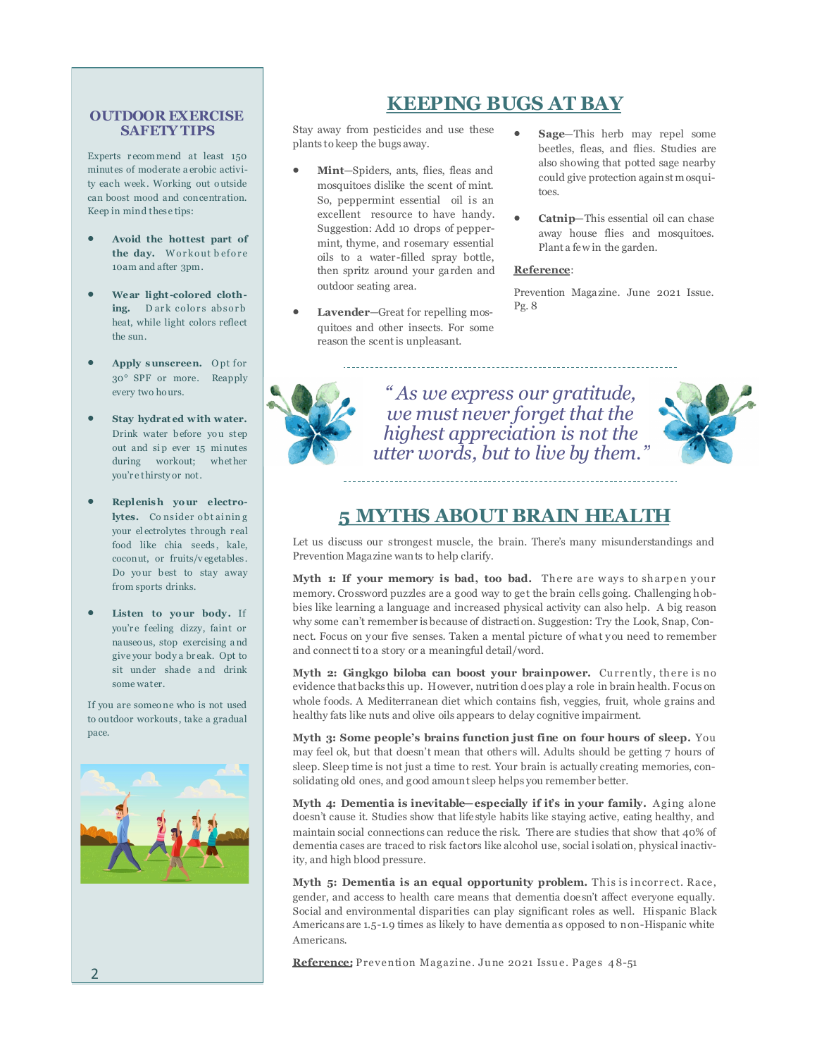### **OUTDOOR EXERCISE SAFETY TIPS**

Experts r ecom mend at least 150 minutes of moderate a erobic activity each week . Working out o utside can boost mood and concentration. Keep in mind thes e tips:

- **Avoid the hottest part of the day.** Workout before 10am and after 3pm .
- **Wear light-colored cloth**ing. Dark colors absorb heat, while light colors reflect the sun.
- **Apply s unscreen.** O pt for 30° SPF or more. Reapply every two hours.
- **Stay hydrat ed w ith w ater.**  Drink water before you step out and sip ever 15 minutes during workout; whether you'r e thirsty or not.
- **Replenis h yo ur electro**lytes. Consider obtaining your el ectrolytes through r eal food like chia seeds, kale, coconut, or fruits/v egetables . Do your best to stay away from sports drinks.
- Listen to your body. If you'r e feeling dizzy, faint or nauseo us, stop exercising a nd give your body a br eak. Opt to sit under shade a nd drink some water.

If you are someo ne who is not used to outdoor workouts , take a gradual pace.



# **KEEPING BUGS AT BAY**

Stay away from pesticides and use these plants to keep the bugs away.

- **Mint**—Spiders, ants, flies, fleas and mosquitoes dislike the scent of mint. So, peppermint essential oil is an excellent resource to have handy. Suggestion: Add 10 drops of peppermint, thyme, and rosemary essential oils to a water-filled spray bottle, then spritz around your garden and outdoor seating area.
- **Lavender**—Great for repelling mosquitoes and other insects. For some reason the scent is unpleasant.
- **Sage**—This herb may repel some beetles, fleas, and flies. Studies are also showing that potted sage nearby could give protection against mosquitoes.
- **Catnip**—This essential oil can chase away house flies and mosquitoes. Plant a few in the garden.

### **Reference**:

Prevention Magazine. June 2021 Issue. Pg. 8



*" As we express our gratitude, we must never forget that the highest appreciation is not the utter words, but to live by them."*



### **5 MYTHS ABOUT BRAIN HEALTH**

Let us discuss our strongest muscle, the brain. There's many misunderstandings and Prevention Magazine wants to help clarify.

Myth 1: If your memory is bad, too bad. There are ways to sharpen your memory. Crossword puzzles are a good way to get the brain cells going. Challenging hobbies like learning a language and increased physical activity can also help. A big reason why some can't remember is because of distraction. Suggestion: Try the Look, Snap, Connect. Focus on your five senses. Taken a mental picture of what you need to remember and connect ti to a story or a meaningful detail/word.

**Myth 2: Gingkgo biloba can boost your brainpower.** Currently, there is no evidence that backs this up. However, nutrition d oes play a role in brain health. Focus on whole foods. A Mediterranean diet which contains fish, veggies, fruit, whole grains and healthy fats like nuts and olive oils appears to delay cognitive impairment.

**Myth 3: Some people's brains function just fine on four hours of sleep.** You may feel ok, but that doesn't mean that others will. Adults should be getting 7 hours of sleep. Sleep time is not just a time to rest. Your brain is actually creating memories, consolidating old ones, and good amount sleep helps you remember better.

**Myth 4: Dementia is inevitable—especially if it's in your family.** Aging alone doesn't cause it. Studies show that lifestyle habits like staying active, eating healthy, and maintain social connections can reduce the risk. There are studies that show that 40% of dementia cases are traced to risk factors like alcohol use, social isolation, physical inactivity, and high blood pressure.

**Myth 5: Dementia is an equal opportunity problem.** This is incorrect. Race, gender, and access to health care means that dementia doesn't affect everyone equally. Social and environmental disparities can play significant roles as well. Hispanic Black Americans are 1.5-1.9 times as likely to have dementia as opposed to non-Hispanic white Americans.

Reference: Prevention Magazine. June 2021 Issue. Pages 48-51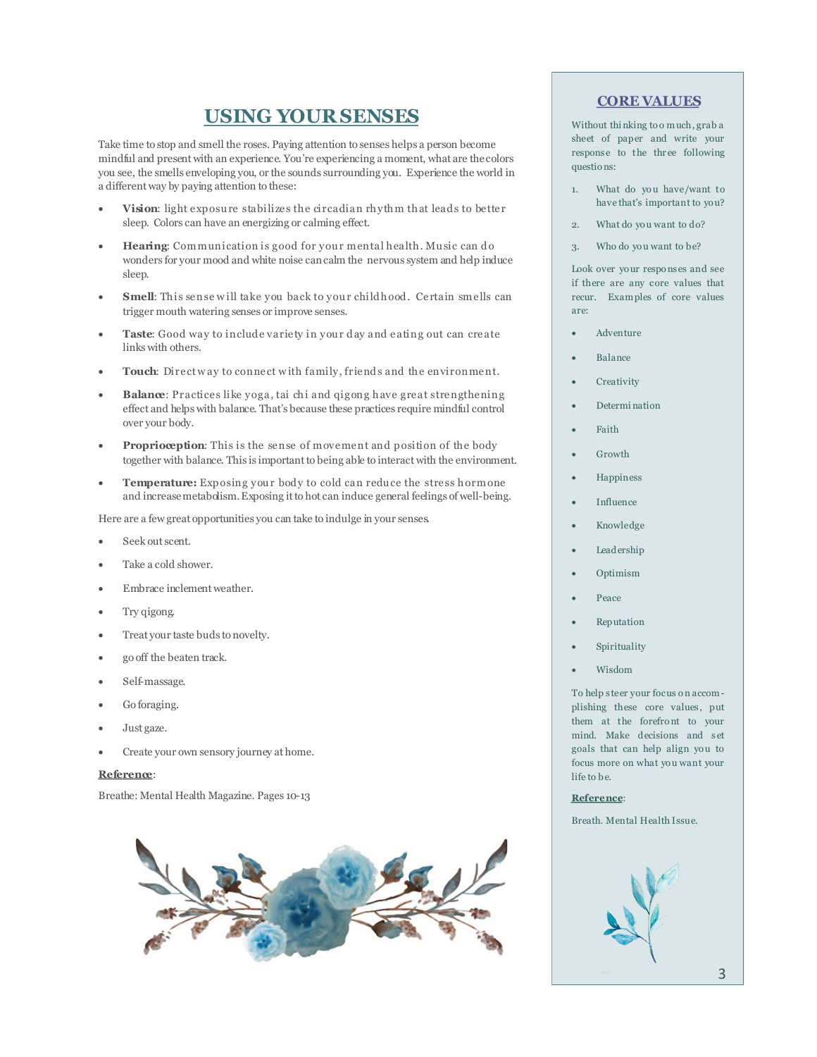### **USING YOUR SENSES**

Take time to stop and smell the roses. Paying attention to senses helps a person become mindful and present with an experience. You're experiencing a moment, what are the colors you see, the smells enveloping you, or the sounds surrounding you. Experience the world in a different way by paying attention to these:

- Vision: light exposure stabilizes the circadian rhythm that leads to better sleep. Colors can have an energizing or calming effect.
- **Hearing:** Communication is good for your mental health. Music can do wonders for your mood and white noise can calm the nervous system and help induce sleep.
- **Smell:** This sense will take you back to your child hood. Certain smells can trigger mouth watering senses or improve senses.
- **Taste**: Good way to include variety in your day and eating out can create links with others.
- Touch: Direct way to connect with family, friends and the environment.
- **Balance**: Practices like yoga, tai chi and qigong have great strengthening effect and helps with balance. That's because these practices require mindful control over your body.
- **Proprioception:** This is the sense of movement and position of the body together with balance. This is important to being able to interact with the environment.
- **Temperature:** Exposing your body to cold can reduce the stress hormone and increase metabolism. Exposing it to hot can induce general feelings of well-being.

Here are a few great opportunities you can take to indulge in your senses.

- Seek out scent.
- Take a cold shower.
- Embrace inclement weather.
- Try qigong.
- Treat your taste buds to novelty.
- go off the beaten track.
- Self-massage.
- Go foraging.
- Just gaze.
- Create your own sensory journey at home.

#### **Reference**:

Breathe: Mental Health Magazine. Pages 10-13



### **CORE VALUES**

Without thi nking to o m uch, grab a sheet of paper and write your response to the three following questio ns:

- 1. What do you have/want to have that's important to yo u?
- 2. What do you want to do?
- 3. Who do you want to be?

Look over yo ur respo ns es and see if there are any core values that recur. Exam ples of core values are:

- Adventure
- Balance
- Creativity
- Determi nation
- Faith
- Growth
- Happiness
- Influence
- Knowledge
- Leadership
- Optimism
- Peace
- Reputation
- Spirituality
- Wisdom

To help s teer your focus o n accom plishing these core values, put them at the forefront to your mind. Make decisions and s et goals that can help align you to focus more on what you want your life to be.

### **Reference**:

Breath. Mental Health Issue.

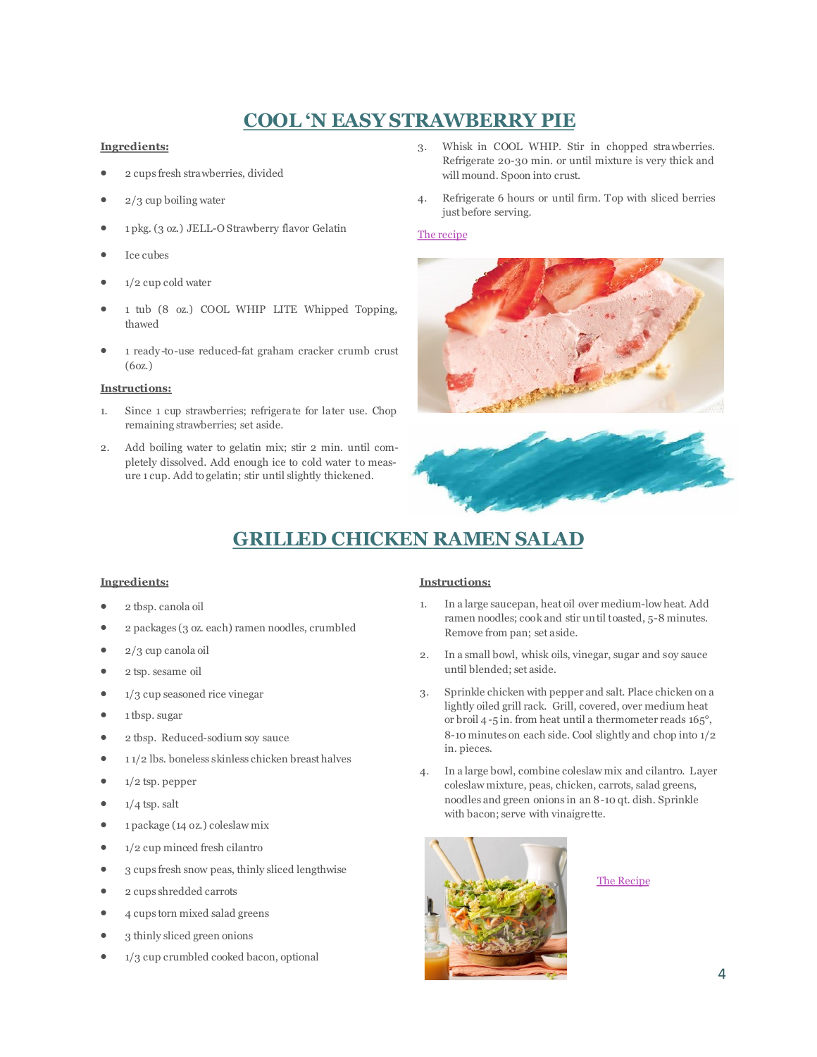# **COOL 'N EASY STRAWBERRY PIE**

### **Ingredients:**

- 2 cups fresh strawberries, divided
- 2/3 cup boiling water
- 1 pkg. (3 oz.) JELL-O Strawberry flavor Gelatin
- Ice cubes
- 1/2 cup cold water
- 1 tub (8 oz.) COOL WHIP LITE Whipped Topping, thawed
- 1 ready-to-use reduced-fat graham cracker crumb crust (6oz.)

### **Instructions:**

- 1. Since 1 cup strawberries; refrigerate for later use. Chop remaining strawberries; set aside.
- 2. Add boiling water to gelatin mix; stir 2 min. until completely dissolved. Add enough ice to cold water to measure 1 cup. Add to gelatin; stir until slightly thickened.
- 3. Whisk in COOL WHIP. Stir in chopped strawberries. Refrigerate 20-30 min. or until mixture is very thick and will mound. Spoon into crust.
- 4. Refrigerate 6 hours or until firm. Top with sliced berries just before serving.

### [The recipe](https://www.myfoodandfamily.com/recipe/053372/cool-n-easy-strawberry-pie)



# **GRILLED CHICKEN RAMEN SALAD**

### **Ingredients:**

- 2 tbsp. canola oil
- 2 packages (3 oz. each) ramen noodles, crumbled
- 2/3 cup canola oil
- 2 tsp. sesame oil
- $\bullet$  1/3 cup seasoned rice vinegar
- $\bullet$  1 tbsp. sugar
- 2 tbsp. Reduced-sodium soy sauce
- $\bullet$  11/2 lbs. boneless skinless chicken breast halves
- $\bullet$  1/2 tsp. pepper
- $1/4$  tsp. salt
- 1 package (14 oz.) coleslaw mix
- $\bullet$  1/2 cup minced fresh cilantro
- 3 cups fresh snow peas, thinly sliced lengthwise
- 2 cups shredded carrots
- 4 cups torn mixed salad greens
- 3 thinly sliced green onions
- 1/3 cup crumbled cooked bacon, optional

### **Instructions:**

- 1. In a large saucepan, heat oil over medium-low heat. Add ramen noodles; cook and stir until toasted, 5-8 minutes. Remove from pan; set aside.
- 2. In a small bowl, whisk oils, vinegar, sugar and soy sauce until blended; set aside.
- 3. Sprinkle chicken with pepper and salt. Place chicken on a lightly oiled grill rack. Grill, covered, over medium heat or broil 4-5 in. from heat until a thermometer reads 165°, 8-10 minutes on each side. Cool slightly and chop into 1/2 in. pieces.
- 4. In a large bowl, combine coleslaw mix and cilantro. Layer coleslaw mixture, peas, chicken, carrots, salad greens, noodles and green onions in an 8-10 qt. dish. Sprinkle with bacon; serve with vinaigrette.



### [The Recipe](https://www.tasteofhome.com/recipes/grilled-chicken-ramen-salad/)